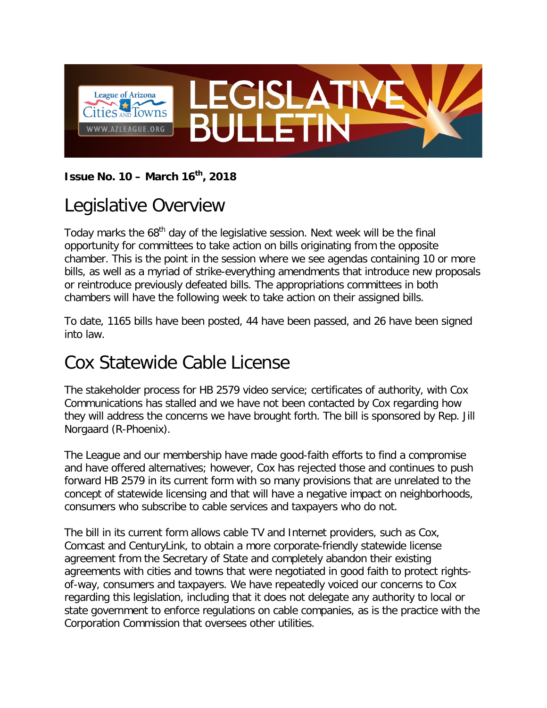

#### **Issue No. 10 – March 16th, 2018**

#### Legislative Overview

Today marks the 68<sup>th</sup> day of the legislative session. Next week will be the final opportunity for committees to take action on bills originating from the opposite chamber. This is the point in the session where we see agendas containing 10 or more bills, as well as a myriad of strike-everything amendments that introduce new proposals or reintroduce previously defeated bills. The appropriations committees in both chambers will have the following week to take action on their assigned bills.

To date, 1165 bills have been posted, 44 have been passed, and 26 have been signed into law.

#### Cox Statewide Cable License

The stakeholder process for HB 2579 video service; certificates of authority, with Cox Communications has stalled and we have not been contacted by Cox regarding how they will address the concerns we have brought forth. The bill is sponsored by Rep. Jill Norgaard (R-Phoenix).

The League and our membership have made good-faith efforts to find a compromise and have offered alternatives; however, Cox has rejected those and continues to push forward HB 2579 in its current form with so many provisions that are unrelated to the concept of statewide licensing and that will have a negative impact on neighborhoods, consumers who subscribe to cable services and taxpayers who do not.

The bill in its current form allows cable TV and Internet providers, such as Cox, Comcast and CenturyLink, to obtain a more corporate-friendly statewide license agreement from the Secretary of State and completely abandon their existing agreements with cities and towns that were negotiated in good faith to protect rightsof-way, consumers and taxpayers. We have repeatedly voiced our concerns to Cox regarding this legislation, including that it does not delegate any authority to local or state government to enforce regulations on cable companies, as is the practice with the Corporation Commission that oversees other utilities.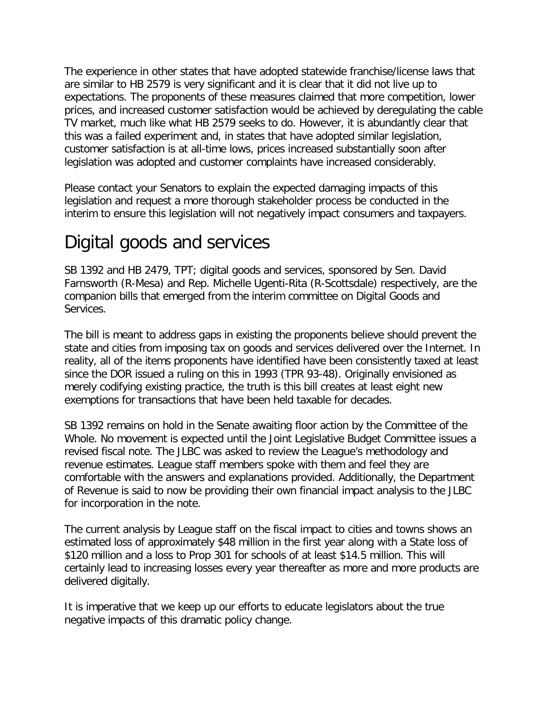The experience in other states that have adopted statewide franchise/license laws that are similar to HB 2579 is very significant and it is clear that it did not live up to expectations. The proponents of these measures claimed that more competition, lower prices, and increased customer satisfaction would be achieved by deregulating the cable TV market, much like what HB 2579 seeks to do. However, it is abundantly clear that this was a failed experiment and, in states that have adopted similar legislation, customer satisfaction is at all-time lows, prices increased substantially soon after legislation was adopted and customer complaints have increased considerably.

Please contact your Senators to explain the expected damaging impacts of this legislation and request a more thorough stakeholder process be conducted in the interim to ensure this legislation will not negatively impact consumers and taxpayers.

### Digital goods and services

SB 1392 and HB 2479, TPT; digital goods and services, sponsored by Sen. David Farnsworth (R-Mesa) and Rep. Michelle Ugenti-Rita (R-Scottsdale) respectively, are the companion bills that emerged from the interim committee on Digital Goods and Services.

The bill is meant to address gaps in existing the proponents believe should prevent the state and cities from imposing tax on goods and services delivered over the Internet. In reality, all of the items proponents have identified have been consistently taxed at least since the DOR issued a ruling on this in 1993 (TPR 93-48). Originally envisioned as merely codifying existing practice, the truth is this bill creates at least eight new exemptions for transactions that have been held taxable for decades.

SB 1392 remains on hold in the Senate awaiting floor action by the Committee of the Whole. No movement is expected until the Joint Legislative Budget Committee issues a revised fiscal note. The JLBC was asked to review the League's methodology and revenue estimates. League staff members spoke with them and feel they are comfortable with the answers and explanations provided. Additionally, the Department of Revenue is said to now be providing their own financial impact analysis to the JLBC for incorporation in the note.

The current analysis by League staff on the fiscal impact to cities and towns shows an estimated loss of approximately \$48 million in the first year along with a State loss of \$120 million and a loss to Prop 301 for schools of at least \$14.5 million. This will certainly lead to increasing losses every year thereafter as more and more products are delivered digitally.

It is imperative that we keep up our efforts to educate legislators about the true negative impacts of this dramatic policy change.